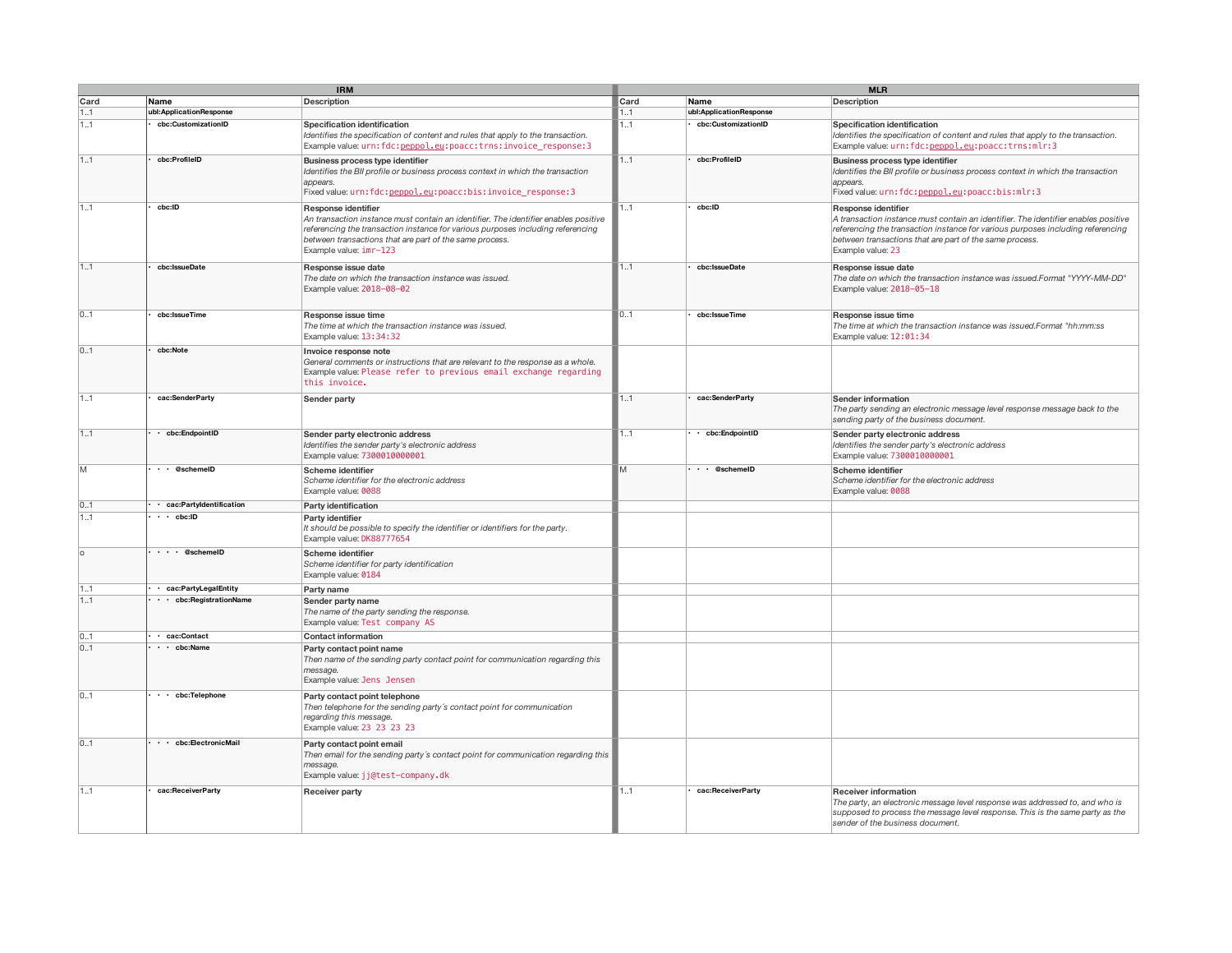|      | <b>IRM</b>                    |                                                                                                                                                                                                                                                                                    |      | <b>MLR</b>                |                                                                                                                                                                                                                                                                              |  |  |
|------|-------------------------------|------------------------------------------------------------------------------------------------------------------------------------------------------------------------------------------------------------------------------------------------------------------------------------|------|---------------------------|------------------------------------------------------------------------------------------------------------------------------------------------------------------------------------------------------------------------------------------------------------------------------|--|--|
| Card | Name                          | <b>Description</b>                                                                                                                                                                                                                                                                 | Card | Name                      | <b>Description</b>                                                                                                                                                                                                                                                           |  |  |
| 1.1  | ubl:ApplicationResponse       |                                                                                                                                                                                                                                                                                    | 1.1  | ubl:ApplicationResponse   |                                                                                                                                                                                                                                                                              |  |  |
| 1.1  | cbc:CustomizationID           | Specification identification<br>Identifies the specification of content and rules that apply to the transaction.<br>Example value: urn: fdc: peppol.eu: poacc: trns: invoice_response: 3                                                                                           | 1.1  | cbc:CustomizationID       | Specification identification<br>Identifies the specification of content and rules that apply to the transaction.<br>Example value: urn: fdc: nennol.eu: poacc: trns: mlr: 3                                                                                                  |  |  |
| 11   | cbc:ProfileID                 | Business process type identifier<br>Identifies the BII profile or business process context in which the transaction<br>appears.<br>Fixed value: urn: fdc: pennol.eu: poacc: bis: invoice response: 3                                                                               | 11   | cbc:ProfileID             | Business process type identifier<br>Identifies the BII profile or business process context in which the transaction<br>appears.<br>Fixed value: urn: fdc: nennol.eu: poacc: bis: mlr: 3                                                                                      |  |  |
| 1.1  | cbc:ID                        | Response identifier<br>An transaction instance must contain an identifier. The identifier enables positive<br>referencing the transaction instance for various purposes including referencing<br>between transactions that are part of the same process.<br>Example value: imr-123 | 1.1  | cbc:ID                    | Response identifier<br>A transaction instance must contain an identifier. The identifier enables positive<br>referencing the transaction instance for various purposes including referencing<br>between transactions that are part of the same process.<br>Example value: 23 |  |  |
| 1.1  | cbc:IssueDate                 | Response issue date<br>The date on which the transaction instance was issued.<br>Example value: 2018-08-02                                                                                                                                                                         | 11   | cbc:IssueDate             | Response issue date<br>The date on which the transaction instance was issued.Format "YYYY-MM-DD"<br>Example value: 2018-05-18                                                                                                                                                |  |  |
| 0.1  | cbc:IssueTime                 | Response issue time<br>The time at which the transaction instance was issued.<br>Example value: 13:34:32                                                                                                                                                                           | 0.1  | cbc:IssueTime             | Response issue time<br>The time at which the transaction instance was issued.Format "hh:mm:ss<br>Example value: 12:01:34                                                                                                                                                     |  |  |
| 0.1  | cbc:Note                      | Invoice response note<br>General comments or instructions that are relevant to the response as a whole.<br>Example value: Please refer to previous email exchange regarding<br>this invoice.                                                                                       |      |                           |                                                                                                                                                                                                                                                                              |  |  |
| 1.1  | cac:SenderParty               | Sender party                                                                                                                                                                                                                                                                       | 1.1  | cac:SenderParty           | Sender information<br>The party sending an electronic message level response message back to the<br>sending party of the business document.                                                                                                                                  |  |  |
| 11   | · cbc:EndpointID              | Sender party electronic address<br>Identifies the sender party's electronic address<br>Example value: 7300010000001                                                                                                                                                                | 11   | • cbc:EndpointID          | Sender party electronic address<br>Identifies the sender party's electronic address<br>Example value: 7300010000001                                                                                                                                                          |  |  |
| M    | $\cdot$ $\cdot$ @schemeID     | Scheme identifier<br>Scheme identifier for the electronic address<br>Example value: 0088                                                                                                                                                                                           | M    | $\cdot$ $\cdot$ @schemeID | Scheme identifier<br>Scheme identifier for the electronic address<br>Example value: 0088                                                                                                                                                                                     |  |  |
| 0.1  | · cac:Partyldentification     | Party identification                                                                                                                                                                                                                                                               |      |                           |                                                                                                                                                                                                                                                                              |  |  |
| 11   | $\cdot \cdot$ cbc:ID          | Party identifier<br>It should be possible to specify the identifier or identifiers for the party.<br>Example value: DK88777654                                                                                                                                                     |      |                           |                                                                                                                                                                                                                                                                              |  |  |
| O    | $\cdot \cdot \cdot$ @schemeID | Scheme identifier<br>Scheme identifier for party identification<br>Example value: 0184                                                                                                                                                                                             |      |                           |                                                                                                                                                                                                                                                                              |  |  |
| 11   | · cac:PartyLegalEntity        | Party name                                                                                                                                                                                                                                                                         |      |                           |                                                                                                                                                                                                                                                                              |  |  |
| 1.1  | · · cbc:RegistrationName      | Sender party name<br>The name of the party sending the response.<br>Example value: Test company AS                                                                                                                                                                                 |      |                           |                                                                                                                                                                                                                                                                              |  |  |
| 01   | · cac:Contact                 | <b>Contact information</b>                                                                                                                                                                                                                                                         |      |                           |                                                                                                                                                                                                                                                                              |  |  |
| 01   | $\cdot$ $\cdot$ cbc:Name      | Party contact point name<br>Then name of the sending party contact point for communication regarding this<br>message.<br>Example value: Jens Jensen                                                                                                                                |      |                           |                                                                                                                                                                                                                                                                              |  |  |
| 0.1  | $\cdot$ $\cdot$ cbc:Telephone | Party contact point telephone<br>Then telephone for the sending party's contact point for communication<br>regarding this message.<br>Example value: 23 23 23 23                                                                                                                   |      |                           |                                                                                                                                                                                                                                                                              |  |  |
| 01   | · · cbc:ElectronicMail        | Party contact point email<br>Then email for the sending party's contact point for communication regarding this<br>message.<br>Example value: jj@test-company.dk                                                                                                                    |      |                           |                                                                                                                                                                                                                                                                              |  |  |
| 1.1  | cac:ReceiverParty             | <b>Receiver party</b>                                                                                                                                                                                                                                                              | 1.1  | cac:ReceiverParty         | <b>Receiver information</b><br>The party, an electronic message level response was addressed to, and who is<br>supposed to process the message level response. This is the same party as the<br>sender of the business document.                                             |  |  |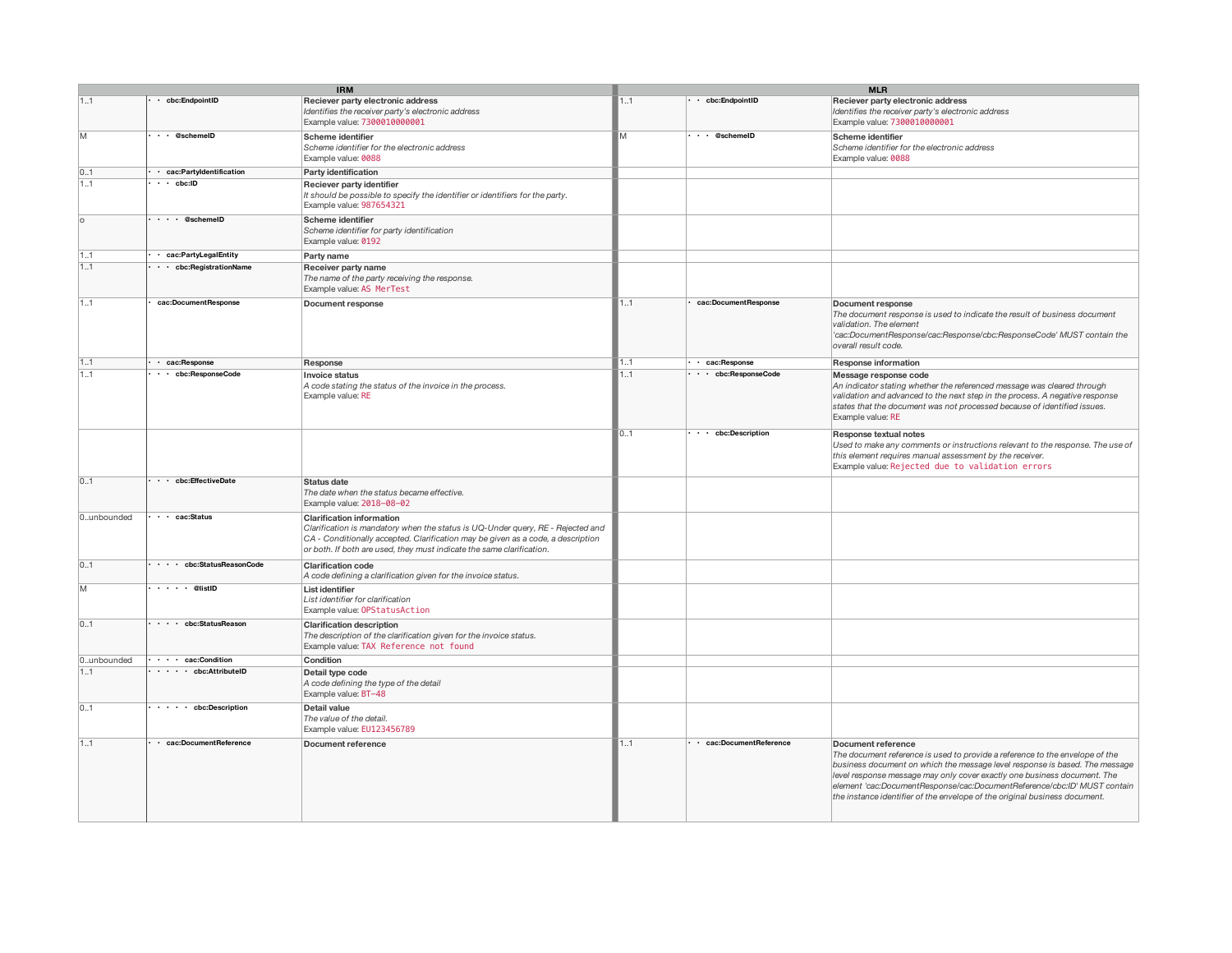| <b>IRM</b> |                                   |                                                                                                                                                                                                                                                                                  | <b>MLR</b> |                               |                                                                                                                                                                                                                                                                                                                                                                                                                         |  |
|------------|-----------------------------------|----------------------------------------------------------------------------------------------------------------------------------------------------------------------------------------------------------------------------------------------------------------------------------|------------|-------------------------------|-------------------------------------------------------------------------------------------------------------------------------------------------------------------------------------------------------------------------------------------------------------------------------------------------------------------------------------------------------------------------------------------------------------------------|--|
| 11         | • cbc:EndpointID                  | Reciever party electronic address<br>Identifies the receiver party's electronic address<br>Example value: 7300010000001                                                                                                                                                          | 11         | $\cdot$ cbc:EndpointID        | Reciever party electronic address<br>Identifies the receiver party's electronic address<br>Example value: 7300010000001                                                                                                                                                                                                                                                                                                 |  |
| M          | $\cdot \cdot$ @schemeID           | Scheme identifier<br>Scheme identifier for the electronic address<br>Example value: 0088                                                                                                                                                                                         | M          | $\cdot \cdot \circ$ @schemelD | Scheme identifier<br>Scheme identifier for the electronic address<br>Example value: 0088                                                                                                                                                                                                                                                                                                                                |  |
| 01         | · cac:Partyldentification         | Party identification                                                                                                                                                                                                                                                             |            |                               |                                                                                                                                                                                                                                                                                                                                                                                                                         |  |
| 1.1        | $\cdot \cdot$ cbc:ID              | Reciever party identifier<br>It should be possible to specify the identifier or identifiers for the party.<br>Example value: 987654321                                                                                                                                           |            |                               |                                                                                                                                                                                                                                                                                                                                                                                                                         |  |
| o          | $\cdots$ @schemeID                | Scheme identifier<br>Scheme identifier for party identification<br>Example value: 0192                                                                                                                                                                                           |            |                               |                                                                                                                                                                                                                                                                                                                                                                                                                         |  |
| 11         | · cac:PartyLegalEntity            | Party name                                                                                                                                                                                                                                                                       |            |                               |                                                                                                                                                                                                                                                                                                                                                                                                                         |  |
| 1.1        | ··· cbc:RegistrationName          | Receiver party name<br>The name of the party receiving the response.<br>Example value: AS MerTest                                                                                                                                                                                |            |                               |                                                                                                                                                                                                                                                                                                                                                                                                                         |  |
| 1.1        | cac:DocumentResponse              | Document response                                                                                                                                                                                                                                                                | 1.1        | cac:DocumentResponse          | Document response<br>The document response is used to indicate the result of business document<br>validation. The element<br>'cac:DocumentResponse/cac:Response/cbc:ResponseCode' MUST contain the<br>overall result code.                                                                                                                                                                                              |  |
| 1.1        | · cac:Response                    | Response                                                                                                                                                                                                                                                                         | 1.1        | · cac:Response                | <b>Response information</b>                                                                                                                                                                                                                                                                                                                                                                                             |  |
| 1.1        | · · cbc:ResponseCode              | <b>Invoice status</b><br>A code stating the status of the invoice in the process.<br>Example value: RE                                                                                                                                                                           | 1.1        | . cbc:ResponseCode            | Message response code<br>An indicator stating whether the referenced message was cleared through<br>validation and advanced to the next step in the process. A negative response<br>states that the document was not processed because of identified issues.<br>Example value: RE                                                                                                                                       |  |
|            |                                   |                                                                                                                                                                                                                                                                                  | 0.1        | . . cbc:Description           | Response textual notes<br>Used to make any comments or instructions relevant to the response. The use of<br>this element requires manual assessment by the receiver.<br>Example value: Rejected due to validation errors                                                                                                                                                                                                |  |
| 0.1        | . . cbc:EffectiveDate             | Status date<br>The date when the status became effective.<br>Example value: 2018-08-02                                                                                                                                                                                           |            |                               |                                                                                                                                                                                                                                                                                                                                                                                                                         |  |
| 0unbounded | $\cdot$ $\cdot$ cac:Status        | <b>Clarification information</b><br>Clarification is mandatory when the status is UQ-Under query, RE - Rejected and<br>CA - Conditionally accepted. Clarification may be given as a code, a description<br>or both. If both are used, they must indicate the same clarification. |            |                               |                                                                                                                                                                                                                                                                                                                                                                                                                         |  |
| 0.1        | cbc:StatusReasonCode              | <b>Clarification code</b><br>A code defining a clarification given for the invoice status.                                                                                                                                                                                       |            |                               |                                                                                                                                                                                                                                                                                                                                                                                                                         |  |
| M          | $\cdots$ $\cdots$ @listID         | List identifier<br>List identifier for clarification<br>Example value: OPStatusAction                                                                                                                                                                                            |            |                               |                                                                                                                                                                                                                                                                                                                                                                                                                         |  |
| 0.1        | . cbc:StatusReason                | <b>Clarification description</b><br>The description of the clarification given for the invoice status.<br>Example value: TAX Reference not found                                                                                                                                 |            |                               |                                                                                                                                                                                                                                                                                                                                                                                                                         |  |
| 0unbounded | $\cdots$ cac:Condition            | Condition                                                                                                                                                                                                                                                                        |            |                               |                                                                                                                                                                                                                                                                                                                                                                                                                         |  |
| 11         | $\cdots$ cbc:AttributeID          | Detail type code<br>A code defining the type of the detail<br>Example value: BT-48                                                                                                                                                                                               |            |                               |                                                                                                                                                                                                                                                                                                                                                                                                                         |  |
| 0.1        | $\cdots$ $\cdots$ cbc:Description | Detail value<br>The value of the detail.<br>Example value: EU123456789                                                                                                                                                                                                           |            |                               |                                                                                                                                                                                                                                                                                                                                                                                                                         |  |
| 11         | · cac:DocumentReference           | Document reference                                                                                                                                                                                                                                                               | 11         | · cac:DocumentReference       | Document reference<br>The document reference is used to provide a reference to the envelope of the<br>business document on which the message level response is based. The message<br>level response message may only cover exactly one business document. The<br>element 'cac:DocumentResponse/cac:DocumentReference/cbc:ID' MUST contain<br>the instance identifier of the envelope of the original business document. |  |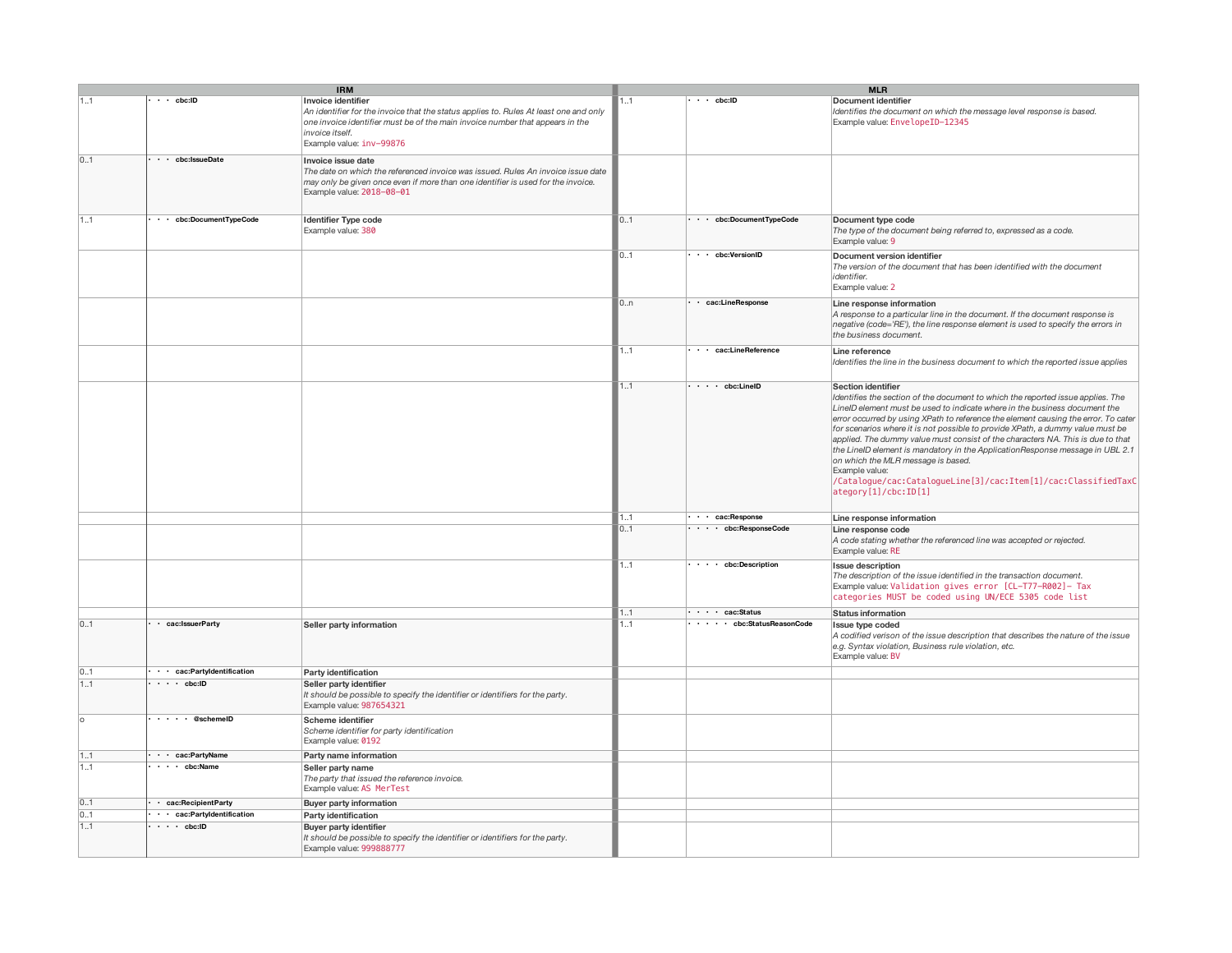|     | <b>IRM</b>                   |                                                                                                                                                                                                                                             |     | <b>MLR</b>                          |                                                                                                                                                                                                                                                                                                                                                                                                                                                                                                                                                                                                                                                                                   |  |
|-----|------------------------------|---------------------------------------------------------------------------------------------------------------------------------------------------------------------------------------------------------------------------------------------|-----|-------------------------------------|-----------------------------------------------------------------------------------------------------------------------------------------------------------------------------------------------------------------------------------------------------------------------------------------------------------------------------------------------------------------------------------------------------------------------------------------------------------------------------------------------------------------------------------------------------------------------------------------------------------------------------------------------------------------------------------|--|
| 11  | $\cdot \cdot$ cbc:ID         | Invoice identifier<br>An identifier for the invoice that the status applies to. Rules At least one and only<br>one invoice identifier must be of the main invoice number that appears in the<br>invoice itself.<br>Example value: inv-99876 | 1.1 | $\cdot \cdot$ cbc:ID                | Document identifier<br>Identifies the document on which the message level response is based.<br>Example value: EnvelopeID-12345                                                                                                                                                                                                                                                                                                                                                                                                                                                                                                                                                   |  |
| 0.1 | · · cbc:IssueDate            | Invoice issue date<br>The date on which the referenced invoice was issued. Rules An invoice issue date<br>may only be given once even if more than one identifier is used for the invoice.<br>Example value: 2018-08-01                     |     |                                     |                                                                                                                                                                                                                                                                                                                                                                                                                                                                                                                                                                                                                                                                                   |  |
| 1.1 | · · cbc:DocumentTypeCode     | <b>Identifier Type code</b><br>Example value: 380                                                                                                                                                                                           | 0.1 | · · cbc:DocumentTypeCode            | Document type code<br>The type of the document being referred to, expressed as a code.<br>Example value: 9                                                                                                                                                                                                                                                                                                                                                                                                                                                                                                                                                                        |  |
|     |                              |                                                                                                                                                                                                                                             | 0.1 | . . cbc:VersionID                   | Document version identifier<br>The version of the document that has been identified with the document<br>identifier.<br>Example value: 2                                                                                                                                                                                                                                                                                                                                                                                                                                                                                                                                          |  |
|     |                              |                                                                                                                                                                                                                                             | 0.n | · cac:LineResponse                  | Line response information<br>A response to a particular line in the document. If the document response is<br>negative (code='RE'), the line response element is used to specify the errors in<br>the business document.                                                                                                                                                                                                                                                                                                                                                                                                                                                           |  |
|     |                              |                                                                                                                                                                                                                                             | 11  | · · cac:LineReference               | Line reference<br>Identifies the line in the business document to which the reported issue applies                                                                                                                                                                                                                                                                                                                                                                                                                                                                                                                                                                                |  |
|     |                              |                                                                                                                                                                                                                                             | 1.1 | $\cdot \cdot \cdot$ cbc:LineID      | Section identifier<br>Identifies the section of the document to which the reported issue applies. The<br>LineID element must be used to indicate where in the business document the<br>error occurred by using XPath to reference the element causing the error. To cater<br>for scenarios where it is not possible to provide XPath, a dummy value must be<br>applied. The dummy value must consist of the characters NA. This is due to that<br>the LineID element is mandatory in the ApplicationResponse message in UBL 2.1<br>on which the MLR message is based.<br>Example value:<br>/Catalogue/cac:CatalogueLine[3]/cac:Item[1]/cac:ClassifiedTaxC<br>ategory[1]/cbc:ID[1] |  |
|     |                              |                                                                                                                                                                                                                                             | 11  | $\cdot$ $\cdot$ cac:Response        | Line response information                                                                                                                                                                                                                                                                                                                                                                                                                                                                                                                                                                                                                                                         |  |
|     |                              |                                                                                                                                                                                                                                             | 01  | $\cdots$ cbc:ResponseCode           | Line response code<br>A code stating whether the referenced line was accepted or rejected.<br>Example value: RE                                                                                                                                                                                                                                                                                                                                                                                                                                                                                                                                                                   |  |
|     |                              |                                                                                                                                                                                                                                             | 11  | $\cdot \cdot \cdot$ cbc:Description | <b>Issue description</b><br>The description of the issue identified in the transaction document.<br>Example value: Validation gives error [CL-T77-R002]- Tax<br>categories MUST be coded using UN/ECE 5305 code list                                                                                                                                                                                                                                                                                                                                                                                                                                                              |  |
|     |                              |                                                                                                                                                                                                                                             | 11  | $\cdots$ cac:Status                 | Status information                                                                                                                                                                                                                                                                                                                                                                                                                                                                                                                                                                                                                                                                |  |
| 01  | · cac:IssuerParty            | Seller party information                                                                                                                                                                                                                    | 1.1 | · · · · cbc:StatusReasonCode        | Issue type coded<br>A codified verison of the issue description that describes the nature of the issue<br>e.g. Syntax violation, Business rule violation, etc.<br>Example value: BV                                                                                                                                                                                                                                                                                                                                                                                                                                                                                               |  |
| 01  | · · cac:PartyIdentification  | Party identification                                                                                                                                                                                                                        |     |                                     |                                                                                                                                                                                                                                                                                                                                                                                                                                                                                                                                                                                                                                                                                   |  |
| 1.1 | $\cdot \cdot \cdot$ cbc:ID   | Seller party identifier<br>It should be possible to specify the identifier or identifiers for the party.<br>Example value: 987654321                                                                                                        |     |                                     |                                                                                                                                                                                                                                                                                                                                                                                                                                                                                                                                                                                                                                                                                   |  |
| o   | $\cdots$ $\cdots$ @schemeID  | Scheme identifier<br>Scheme identifier for party identification<br>Example value: 0192                                                                                                                                                      |     |                                     |                                                                                                                                                                                                                                                                                                                                                                                                                                                                                                                                                                                                                                                                                   |  |
| 11  | · · cac:PartyName            | Party name information                                                                                                                                                                                                                      |     |                                     |                                                                                                                                                                                                                                                                                                                                                                                                                                                                                                                                                                                                                                                                                   |  |
| 11  | $\cdot \cdot \cdot$ cbc:Name | Seller party name<br>The party that issued the reference invoice.<br>Example value: AS MerTest                                                                                                                                              |     |                                     |                                                                                                                                                                                                                                                                                                                                                                                                                                                                                                                                                                                                                                                                                   |  |
| 01  | · cac:RecipientParty         | <b>Buyer party information</b>                                                                                                                                                                                                              |     |                                     |                                                                                                                                                                                                                                                                                                                                                                                                                                                                                                                                                                                                                                                                                   |  |
| 01  | · · cac:PartyIdentification  | Party identification                                                                                                                                                                                                                        |     |                                     |                                                                                                                                                                                                                                                                                                                                                                                                                                                                                                                                                                                                                                                                                   |  |
| 1.1 | $\cdot \cdot \cdot$ cbc:ID   | <b>Buyer party identifier</b><br>It should be possible to specify the identifier or identifiers for the party.<br>Example value: 999888777                                                                                                  |     |                                     |                                                                                                                                                                                                                                                                                                                                                                                                                                                                                                                                                                                                                                                                                   |  |